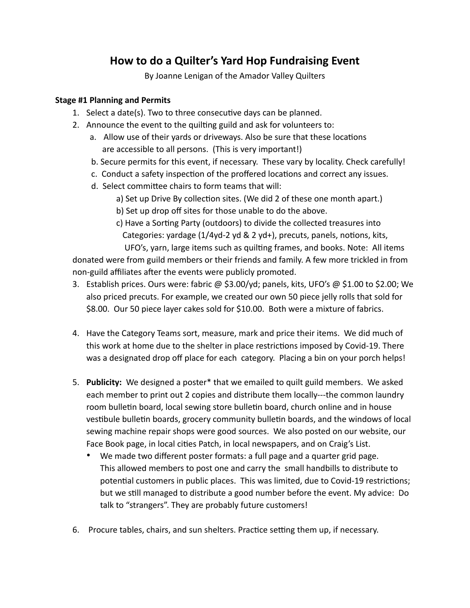## **How to do a Quilter's Yard Hop Fundraising Event**

By Joanne Lenigan of the Amador Valley Quilters

## **Stage #1 Planning and Permits**

- 1. Select a date(s). Two to three consecutive days can be planned.
- 2. Announce the event to the quilting guild and ask for volunteers to:
	- a. Allow use of their yards or driveways. Also be sure that these locations are accessible to all persons. (This is very important!)
	- b. Secure permits for this event, if necessary. These vary by locality. Check carefully!
	- c. Conduct a safety inspection of the proffered locations and correct any issues.
	- d. Select committee chairs to form teams that will:
		- a) Set up Drive By collection sites. (We did 2 of these one month apart.)
		- b) Set up drop off sites for those unable to do the above.
		- c) Have a Sorting Party (outdoors) to divide the collected treasures into Categories: yardage  $(1/4yd - 2 yd - 8 z yd +)$ , precuts, panels, notions, kits, UFO's, yarn, large items such as quilting frames, and books. Note: All items

donated were from guild members or their friends and family. A few more trickled in from non-guild affiliates after the events were publicly promoted.

- 3. Establish prices. Ours were: fabric @ \$3.00/yd; panels, kits, UFO's @ \$1.00 to \$2.00; We also priced precuts. For example, we created our own 50 piece jelly rolls that sold for \$8.00. Our 50 piece layer cakes sold for \$10.00. Both were a mixture of fabrics.
- 4. Have the Category Teams sort, measure, mark and price their items. We did much of this work at home due to the shelter in place restrictions imposed by Covid-19. There was a designated drop off place for each category. Placing a bin on your porch helps!
- 5. **Publicity:** We designed a poster\* that we emailed to quilt guild members. We asked each member to print out 2 copies and distribute them locally---the common laundry room bulletin board, local sewing store bulletin board, church online and in house vestibule bulletin boards, grocery community bulletin boards, and the windows of local sewing machine repair shops were good sources. We also posted on our website, our Face Book page, in local cities Patch, in local newspapers, and on Craig's List.
	- We made two different poster formats: a full page and a quarter grid page. This allowed members to post one and carry the small handbills to distribute to potential customers in public places. This was limited, due to Covid-19 restrictions; but we still managed to distribute a good number before the event. My advice: Do talk to "strangers". They are probably future customers!
- 6. Procure tables, chairs, and sun shelters. Practice setting them up, if necessary.